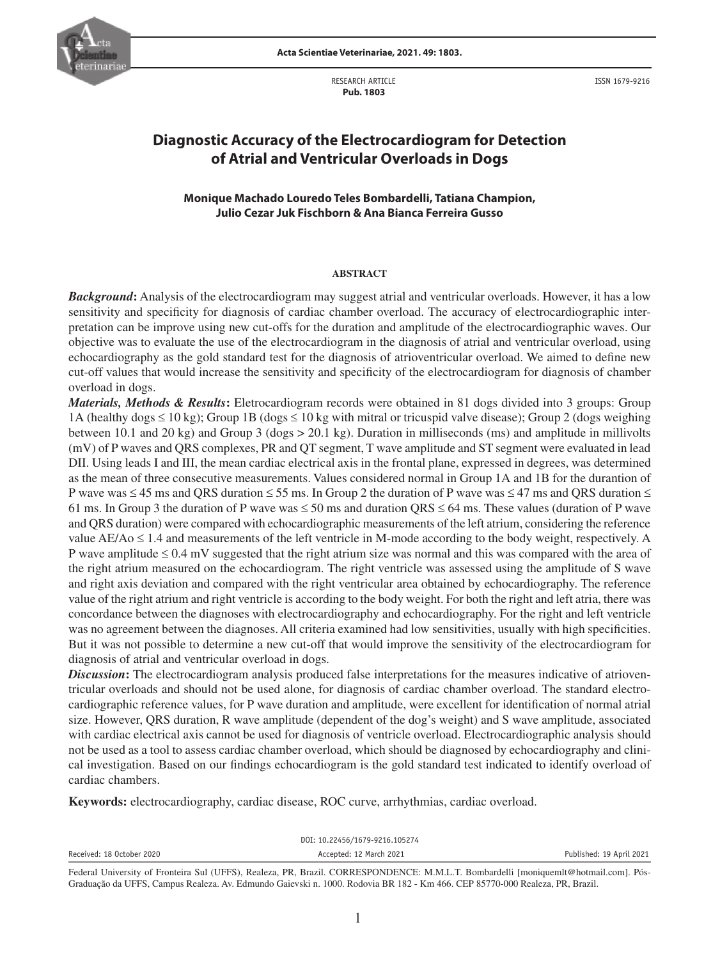

RESEARCH ARTICLE  **Pub. 1803**

ISSN 1679-9216

# **Diagnostic Accuracy of the Electrocardiogram for Detection of Atrial and Ventricular Overloads in Dogs**

# **Monique Machado Louredo Teles Bombardelli, Tatiana Champion, Julio Cezar Juk Fischborn & Ana Bianca Ferreira Gusso**

### **ABSTRACT**

*Background***:** Analysis of the electrocardiogram may suggest atrial and ventricular overloads. However, it has a low sensitivity and specificity for diagnosis of cardiac chamber overload. The accuracy of electrocardiographic interpretation can be improve using new cut-offs for the duration and amplitude of the electrocardiographic waves. Our objective was to evaluate the use of the electrocardiogram in the diagnosis of atrial and ventricular overload, using echocardiography as the gold standard test for the diagnosis of atrioventricular overload. We aimed to define new cut-off values that would increase the sensitivity and specificity of the electrocardiogram for diagnosis of chamber overload in dogs.

*Materials, Methods & Results***:** Eletrocardiogram records were obtained in 81 dogs divided into 3 groups: Group 1A (healthy dogs ≤ 10 kg); Group 1B (dogs ≤ 10 kg with mitral or tricuspid valve disease); Group 2 (dogs weighing between 10.1 and 20 kg) and Group 3 (dogs > 20.1 kg). Duration in milliseconds (ms) and amplitude in millivolts (mV) of P waves and QRS complexes, PR and QT segment, T wave amplitude and ST segment were evaluated in lead DII. Using leads I and III, the mean cardiac electrical axis in the frontal plane, expressed in degrees, was determined as the mean of three consecutive measurements. Values considered normal in Group 1A and 1B for the durantion of P wave was ≤ 45 ms and QRS duration ≤ 55 ms. In Group 2 the duration of P wave was ≤ 47 ms and QRS duration ≤ 61 ms. In Group 3 the duration of P wave was  $\leq$  50 ms and duration QRS  $\leq$  64 ms. These values (duration of P wave and QRS duration) were compared with echocardiographic measurements of the left atrium, considering the reference value AE/Ao ≤ 1.4 and measurements of the left ventricle in M-mode according to the body weight, respectively. A P wave amplitude  $\leq 0.4$  mV suggested that the right atrium size was normal and this was compared with the area of the right atrium measured on the echocardiogram. The right ventricle was assessed using the amplitude of S wave and right axis deviation and compared with the right ventricular area obtained by echocardiography. The reference value of the right atrium and right ventricle is according to the body weight. For both the right and left atria, there was concordance between the diagnoses with electrocardiography and echocardiography. For the right and left ventricle was no agreement between the diagnoses. All criteria examined had low sensitivities, usually with high specificities. But it was not possible to determine a new cut-off that would improve the sensitivity of the electrocardiogram for diagnosis of atrial and ventricular overload in dogs.

*Discussion*: The electrocardiogram analysis produced false interpretations for the measures indicative of atrioventricular overloads and should not be used alone, for diagnosis of cardiac chamber overload. The standard electrocardiographic reference values, for P wave duration and amplitude, were excellent for identification of normal atrial size. However, QRS duration, R wave amplitude (dependent of the dog's weight) and S wave amplitude, associated with cardiac electrical axis cannot be used for diagnosis of ventricle overload. Electrocardiographic analysis should not be used as a tool to assess cardiac chamber overload, which should be diagnosed by echocardiography and clinical investigation. Based on our findings echocardiogram is the gold standard test indicated to identify overload of cardiac chambers.

**Keywords:** electrocardiography, cardiac disease, ROC curve, arrhythmias, cardiac overload.

| DOI: 10.22456/1679-9216.105274 |                                                                                                                                  |                          |  |  |  |  |
|--------------------------------|----------------------------------------------------------------------------------------------------------------------------------|--------------------------|--|--|--|--|
| Received: 18 October 2020      | Accepted: 12 March 2021                                                                                                          | Published: 19 April 2021 |  |  |  |  |
|                                | Federal University of Fronteira Sul (UFFS), Realeza, PR, Brazil, CORRESPONDENCE: MMLT, Bombardelli Imoniquemlt@hotmail.com1, Pós |                          |  |  |  |  |

Federal University of Fronteira Sul (UFFS), Realeza, PR, Brazil. CORRESPONDENCE: M.M.L.T. Bombardelli [moniquemlt@hotmail.com]. Pós-Graduação da UFFS, Campus Realeza. Av. Edmundo Gaievski n. 1000. Rodovia BR 182 - Km 466. CEP 85770-000 Realeza, PR, Brazil.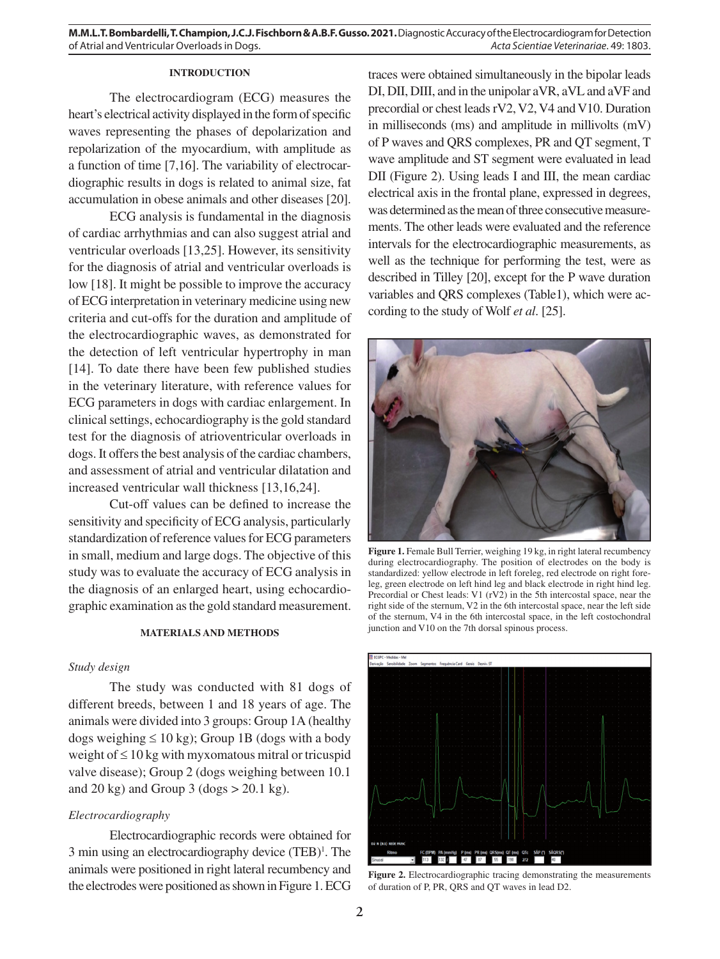# **INTRODUCTION**

The electrocardiogram (ECG) measures the heart's electrical activity displayed in the form of specific waves representing the phases of depolarization and repolarization of the myocardium, with amplitude as a function of time [7,16]. The variability of electrocardiographic results in dogs is related to animal size, fat accumulation in obese animals and other diseases [20].

ECG analysis is fundamental in the diagnosis of cardiac arrhythmias and can also suggest atrial and ventricular overloads [13,25]. However, its sensitivity for the diagnosis of atrial and ventricular overloads is low [18]. It might be possible to improve the accuracy of ECG interpretation in veterinary medicine using new criteria and cut-offs for the duration and amplitude of the electrocardiographic waves, as demonstrated for the detection of left ventricular hypertrophy in man [14]. To date there have been few published studies in the veterinary literature, with reference values for ECG parameters in dogs with cardiac enlargement. In clinical settings, echocardiography is the gold standard test for the diagnosis of atrioventricular overloads in dogs. It offers the best analysis of the cardiac chambers, and assessment of atrial and ventricular dilatation and increased ventricular wall thickness [13,16,24].

Cut-off values can be defined to increase the sensitivity and specificity of ECG analysis, particularly standardization of reference values for ECG parameters in small, medium and large dogs. The objective of this study was to evaluate the accuracy of ECG analysis in the diagnosis of an enlarged heart, using echocardiographic examination as the gold standard measurement.

#### **MATERIALS AND METHODS**

## *Study design*

The study was conducted with 81 dogs of different breeds, between 1 and 18 years of age. The animals were divided into 3 groups: Group 1A (healthy dogs weighing  $\leq 10$  kg); Group 1B (dogs with a body weight of ≤ 10 kg with myxomatous mitral or tricuspid valve disease); Group 2 (dogs weighing between 10.1 and 20 kg) and Group 3 (dogs  $> 20.1$  kg).

# *Electrocardiography*

Electrocardiographic records were obtained for 3 min using an electrocardiography device (TEB)1 . The animals were positioned in right lateral recumbency and the electrodes were positioned as shown in Figure 1. ECG

traces were obtained simultaneously in the bipolar leads DI, DII, DIII, and in the unipolar aVR, aVL and aVF and precordial or chest leads rV2, V2, V4 and V10. Duration in milliseconds (ms) and amplitude in millivolts (mV) of P waves and QRS complexes, PR and QT segment, T wave amplitude and ST segment were evaluated in lead DII (Figure 2). Using leads I and III, the mean cardiac electrical axis in the frontal plane, expressed in degrees, was determined as the mean of three consecutive measurements. The other leads were evaluated and the reference intervals for the electrocardiographic measurements, as well as the technique for performing the test, were as described in Tilley [20], except for the P wave duration variables and QRS complexes (Table1), which were according to the study of Wolf *et al*. [25].



**Figure 1.** Female Bull Terrier, weighing 19 kg, in right lateral recumbency during electrocardiography. The position of electrodes on the body is standardized: yellow electrode in left foreleg, red electrode on right foreleg, green electrode on left hind leg and black electrode in right hind leg. Precordial or Chest leads: V1 (rV2) in the 5th intercostal space, near the right side of the sternum, V2 in the 6th intercostal space, near the left side of the sternum, V4 in the 6th intercostal space, in the left costochondral junction and V10 on the 7th dorsal spinous process.



Figure 2. Electrocardiographic tracing demonstrating the measurements of duration of P, PR, QRS and QT waves in lead D2.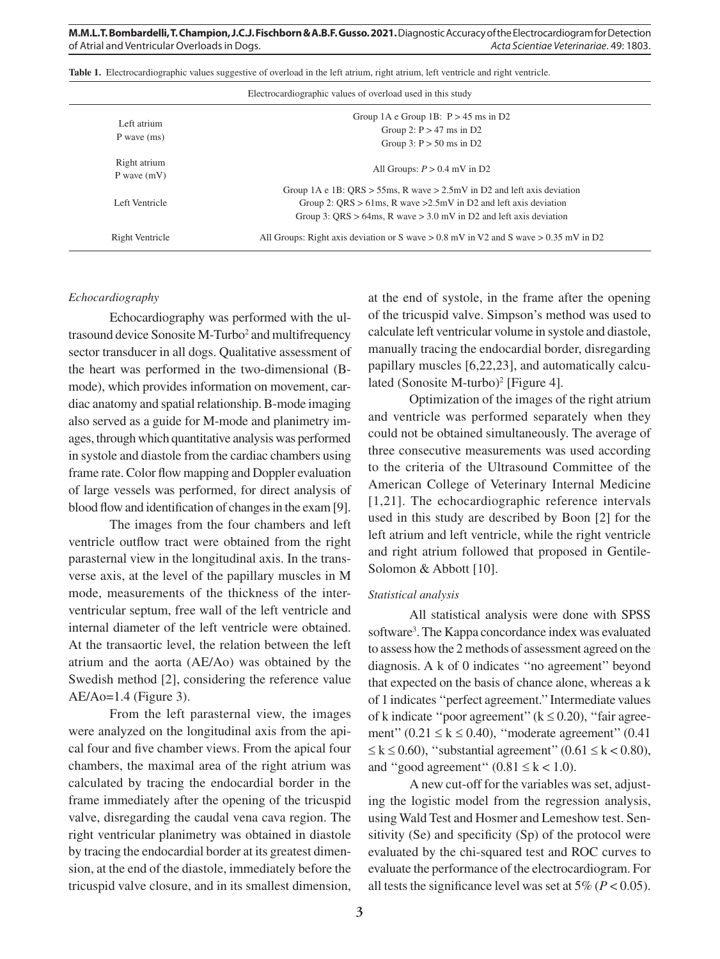| Electrocardiographic values of overload used in this study |                                                                                                                                                                                                                                 |  |  |  |
|------------------------------------------------------------|---------------------------------------------------------------------------------------------------------------------------------------------------------------------------------------------------------------------------------|--|--|--|
| Left atrium<br>$P$ wave $(ms)$                             | Group 1A e Group 1B: $P > 45$ ms in D2<br>Group 2: $P > 47$ ms in D2<br>Group 3: $P > 50$ ms in D2                                                                                                                              |  |  |  |
| Right atrium<br>P wave $(mV)$                              | All Groups: $P > 0.4$ mV in D2                                                                                                                                                                                                  |  |  |  |
| Left Ventricle                                             | Group 1A e 1B: QRS > 55ms, R wave > $2.5$ mV in D2 and left axis deviation<br>Group 2: QRS $> 61$ ms, R wave $>2.5$ mV in D2 and left axis deviation<br>Group 3: QRS $> 64$ ms, R wave $> 3.0$ mV in D2 and left axis deviation |  |  |  |
| Right Ventricle                                            | All Groups: Right axis deviation or S wave $> 0.8$ mV in V2 and S wave $> 0.35$ mV in D2                                                                                                                                        |  |  |  |

**Table 1.** Electrocardiographic values suggestive of overload in the left atrium, right atrium, left ventricle and right ventricle.

#### *Echocardiography*

Echocardiography was performed with the ultrasound device Sonosite M-Turbo<sup>2</sup> and multifrequency sector transducer in all dogs. Qualitative assessment of the heart was performed in the two-dimensional (Bmode), which provides information on movement, cardiac anatomy and spatial relationship. B-mode imaging also served as a guide for M-mode and planimetry images, through which quantitative analysis was performed in systole and diastole from the cardiac chambers using frame rate. Color flow mapping and Doppler evaluation of large vessels was performed, for direct analysis of blood flow and identification of changes in the exam [9].

The images from the four chambers and left ventricle outflow tract were obtained from the right parasternal view in the longitudinal axis. In the transverse axis, at the level of the papillary muscles in M mode, measurements of the thickness of the interventricular septum, free wall of the left ventricle and internal diameter of the left ventricle were obtained. At the transaortic level, the relation between the left atrium and the aorta (AE/Ao) was obtained by the Swedish method [2], considering the reference value  $AE/Ao=1.4$  (Figure 3).

From the left parasternal view, the images were analyzed on the longitudinal axis from the apical four and five chamber views. From the apical four chambers, the maximal area of the right atrium was calculated by tracing the endocardial border in the frame immediately after the opening of the tricuspid valve, disregarding the caudal vena cava region. The right ventricular planimetry was obtained in diastole by tracing the endocardial border at its greatest dimension, at the end of the diastole, immediately before the tricuspid valve closure, and in its smallest dimension, at the end of systole, in the frame after the opening of the tricuspid valve. Simpson's method was used to calculate left ventricular volume in systole and diastole, manually tracing the endocardial border, disregarding papillary muscles [6,22,23], and automatically calculated (Sonosite M-turbo)<sup>2</sup> [Figure 4].

Optimization of the images of the right atrium and ventricle was performed separately when they could not be obtained simultaneously. The average of three consecutive measurements was used according to the criteria of the Ultrasound Committee of the American College of Veterinary Internal Medicine [1,21]. The echocardiographic reference intervals used in this study are described by Boon [2] for the left atrium and left ventricle, while the right ventricle and right atrium followed that proposed in Gentile-Solomon & Abbott [10].

# *Statistical analysis*

All statistical analysis were done with SPSS software<sup>3</sup>. The Kappa concordance index was evaluated to assess how the 2 methods of assessment agreed on the diagnosis. A k of 0 indicates ''no agreement'' beyond that expected on the basis of chance alone, whereas a k of 1 indicates ''perfect agreement.'' Intermediate values of k indicate "poor agreement" ( $k \le 0.20$ ), "fair agreement''  $(0.21 \le k \le 0.40)$ , "moderate agreement"  $(0.41$  $\leq k \leq 0.60$ , "substantial agreement" (0.61  $\leq k < 0.80$ ), and "good agreement"  $(0.81 \le k < 1.0)$ .

A new cut-off for the variables was set, adjusting the logistic model from the regression analysis, using Wald Test and Hosmer and Lemeshow test. Sensitivity (Se) and specificity (Sp) of the protocol were evaluated by the chi-squared test and ROC curves to evaluate the performance of the electrocardiogram. For all tests the significance level was set at  $5\%$  ( $P < 0.05$ ).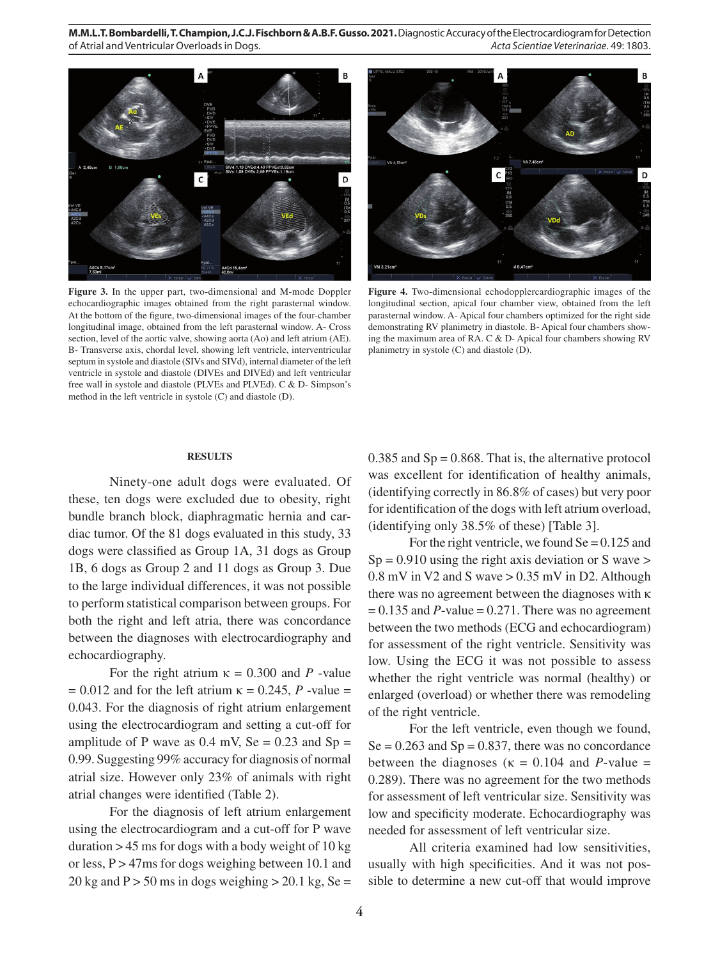

**Figure 3.** In the upper part, two-dimensional and M-mode Doppler echocardiographic images obtained from the right parasternal window. At the bottom of the figure, two-dimensional images of the four-chamber longitudinal image, obtained from the left parasternal window. A- Cross section, level of the aortic valve, showing aorta (Ao) and left atrium (AE). B- Transverse axis, chordal level, showing left ventricle, interventricular septum in systole and diastole (SIVs and SIVd), internal diameter of the left ventricle in systole and diastole (DIVEs and DIVEd) and left ventricular free wall in systole and diastole (PLVEs and PLVEd). C & D- Simpson's method in the left ventricle in systole (C) and diastole (D).



**Figure 4.** Two-dimensional echodopplercardiographic images of the longitudinal section, apical four chamber view, obtained from the left parasternal window. A- Apical four chambers optimized for the right side demonstrating RV planimetry in diastole. B- Apical four chambers showing the maximum area of RA. C & D- Apical four chambers showing RV planimetry in systole (C) and diastole (D).

## **RESULTS**

Ninety-one adult dogs were evaluated. Of these, ten dogs were excluded due to obesity, right bundle branch block, diaphragmatic hernia and cardiac tumor. Of the 81 dogs evaluated in this study, 33 dogs were classified as Group 1A, 31 dogs as Group 1B, 6 dogs as Group 2 and 11 dogs as Group 3. Due to the large individual differences, it was not possible to perform statistical comparison between groups. For both the right and left atria, there was concordance between the diagnoses with electrocardiography and echocardiography.

For the right atrium  $\kappa = 0.300$  and *P* -value  $= 0.012$  and for the left atrium  $\kappa = 0.245$ , *P* -value = 0.043. For the diagnosis of right atrium enlargement using the electrocardiogram and setting a cut-off for amplitude of P wave as  $0.4$  mV, Se =  $0.23$  and Sp = 0.99. Suggesting 99% accuracy for diagnosis of normal atrial size. However only 23% of animals with right atrial changes were identified (Table 2).

For the diagnosis of left atrium enlargement using the electrocardiogram and a cut-off for P wave duration  $> 45$  ms for dogs with a body weight of 10 kg or less,  $P > 47$ ms for dogs weighing between 10.1 and 20 kg and  $P > 50$  ms in dogs weighing  $> 20.1$  kg, Se =  $0.385$  and  $Sp = 0.868$ . That is, the alternative protocol was excellent for identification of healthy animals, (identifying correctly in 86.8% of cases) but very poor for identification of the dogs with left atrium overload, (identifying only 38.5% of these) [Table 3].

For the right ventricle, we found  $\text{Se} = 0.125$  and  $Sp = 0.910$  using the right axis deviation or S wave  $>$  $0.8$  mV in V2 and S wave  $> 0.35$  mV in D2. Although there was no agreement between the diagnoses with κ  $= 0.135$  and *P*-value  $= 0.271$ . There was no agreement between the two methods (ECG and echocardiogram) for assessment of the right ventricle. Sensitivity was low. Using the ECG it was not possible to assess whether the right ventricle was normal (healthy) or enlarged (overload) or whether there was remodeling of the right ventricle.

For the left ventricle, even though we found,  $Se = 0.263$  and  $Sp = 0.837$ , there was no concordance between the diagnoses ( $\kappa = 0.104$  and *P*-value = 0.289). There was no agreement for the two methods for assessment of left ventricular size. Sensitivity was low and specificity moderate. Echocardiography was needed for assessment of left ventricular size.

All criteria examined had low sensitivities, usually with high specificities. And it was not possible to determine a new cut-off that would improve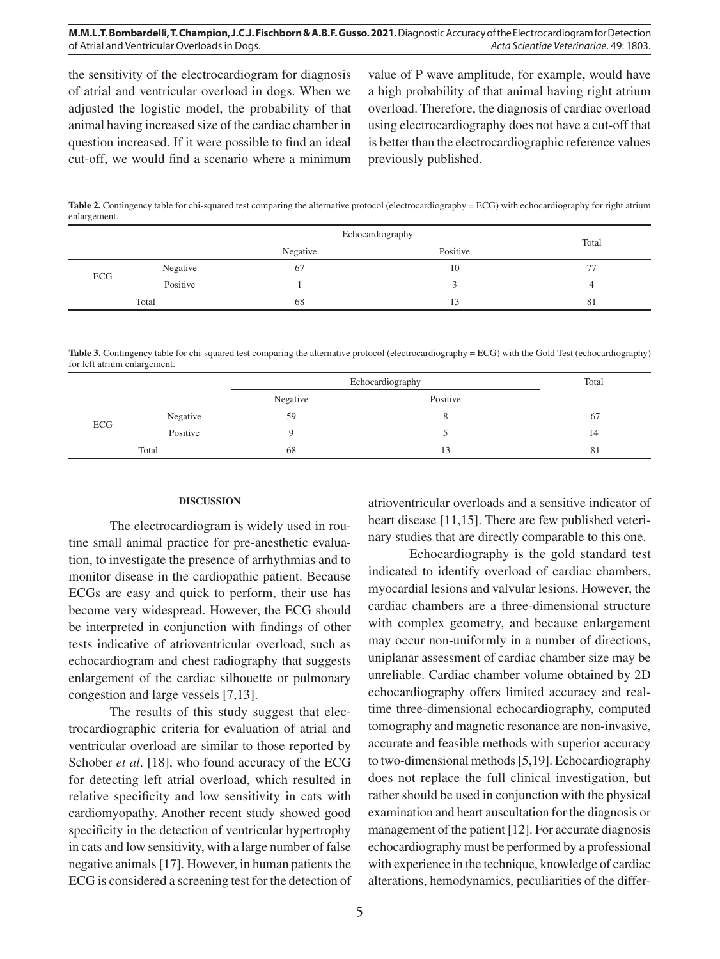the sensitivity of the electrocardiogram for diagnosis of atrial and ventricular overload in dogs. When we adjusted the logistic model, the probability of that animal having increased size of the cardiac chamber in question increased. If it were possible to find an ideal cut-off, we would find a scenario where a minimum

value of P wave amplitude, for example, would have a high probability of that animal having right atrium overload. Therefore, the diagnosis of cardiac overload using electrocardiography does not have a cut-off that is better than the electrocardiographic reference values previously published.

**Table 2.** Contingency table for chi-squared test comparing the alternative protocol (electrocardiography = ECG) with echocardiography for right atrium enlargement.

|       |          | Echocardiography |          | Total          |
|-------|----------|------------------|----------|----------------|
|       |          | Negative         | Positive |                |
| ECG   | Negative | б.               | 10       | $\overline{a}$ |
|       | Positive |                  |          |                |
| Total |          | 68               |          | 81             |

**Table 3.** Contingency table for chi-squared test comparing the alternative protocol (electrocardiography = ECG) with the Gold Test (echocardiography) for left atrium enlargement.

|       |          | Echocardiography |          | Total |
|-------|----------|------------------|----------|-------|
|       |          | Negative         | Positive |       |
| ECG   | Negative | 59               |          | 67    |
|       | Positive |                  |          | 14    |
| Total |          | 68               | 13       | -81   |

#### **DISCUSSION**

The electrocardiogram is widely used in routine small animal practice for pre-anesthetic evaluation, to investigate the presence of arrhythmias and to monitor disease in the cardiopathic patient. Because ECGs are easy and quick to perform, their use has become very widespread. However, the ECG should be interpreted in conjunction with findings of other tests indicative of atrioventricular overload, such as echocardiogram and chest radiography that suggests enlargement of the cardiac silhouette or pulmonary congestion and large vessels [7,13].

The results of this study suggest that electrocardiographic criteria for evaluation of atrial and ventricular overload are similar to those reported by Schober *et al*. [18], who found accuracy of the ECG for detecting left atrial overload, which resulted in relative specificity and low sensitivity in cats with cardiomyopathy. Another recent study showed good specificity in the detection of ventricular hypertrophy in cats and low sensitivity, with a large number of false negative animals [17]. However, in human patients the ECG is considered a screening test for the detection of atrioventricular overloads and a sensitive indicator of heart disease [11,15]. There are few published veterinary studies that are directly comparable to this one.

Echocardiography is the gold standard test indicated to identify overload of cardiac chambers, myocardial lesions and valvular lesions. However, the cardiac chambers are a three-dimensional structure with complex geometry, and because enlargement may occur non-uniformly in a number of directions, uniplanar assessment of cardiac chamber size may be unreliable. Cardiac chamber volume obtained by 2D echocardiography offers limited accuracy and realtime three-dimensional echocardiography, computed tomography and magnetic resonance are non-invasive, accurate and feasible methods with superior accuracy to two-dimensional methods [5,19]. Echocardiography does not replace the full clinical investigation, but rather should be used in conjunction with the physical examination and heart auscultation for the diagnosis or management of the patient [12]. For accurate diagnosis echocardiography must be performed by a professional with experience in the technique, knowledge of cardiac alterations, hemodynamics, peculiarities of the differ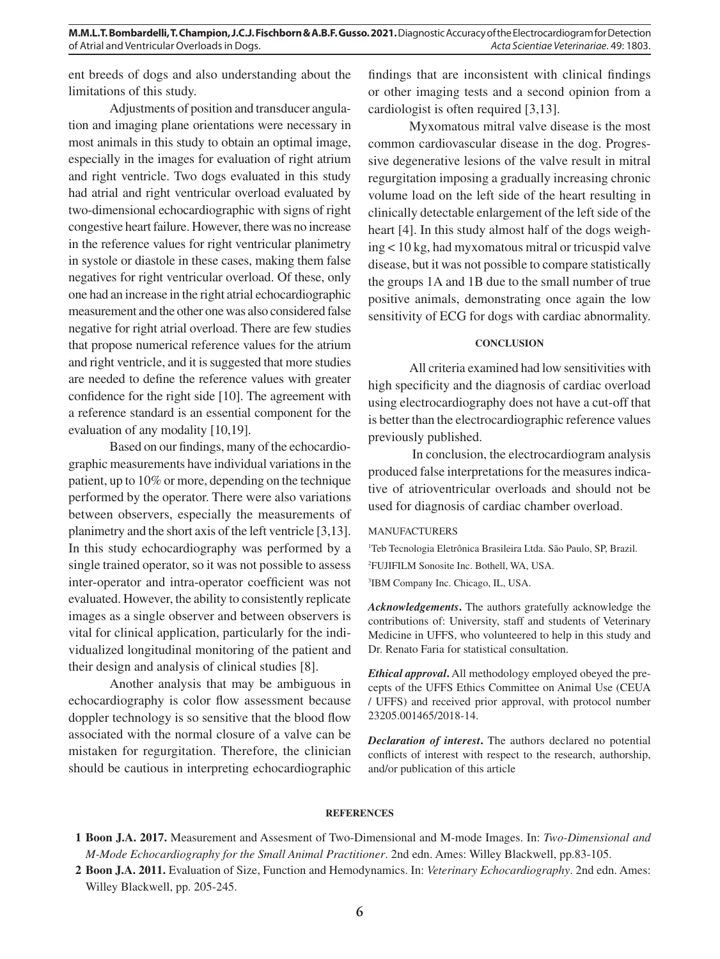ent breeds of dogs and also understanding about the limitations of this study.

Adjustments of position and transducer angulation and imaging plane orientations were necessary in most animals in this study to obtain an optimal image, especially in the images for evaluation of right atrium and right ventricle. Two dogs evaluated in this study had atrial and right ventricular overload evaluated by two-dimensional echocardiographic with signs of right congestive heart failure. However, there was no increase in the reference values for right ventricular planimetry in systole or diastole in these cases, making them false negatives for right ventricular overload. Of these, only one had an increase in the right atrial echocardiographic measurement and the other one was also considered false negative for right atrial overload. There are few studies that propose numerical reference values for the atrium and right ventricle, and it is suggested that more studies are needed to define the reference values with greater confidence for the right side [10]. The agreement with a reference standard is an essential component for the evaluation of any modality [10,19].

Based on our findings, many of the echocardiographic measurements have individual variations in the patient, up to 10% or more, depending on the technique performed by the operator. There were also variations between observers, especially the measurements of planimetry and the short axis of the left ventricle [3,13]. In this study echocardiography was performed by a single trained operator, so it was not possible to assess inter-operator and intra-operator coefficient was not evaluated. However, the ability to consistently replicate images as a single observer and between observers is vital for clinical application, particularly for the individualized longitudinal monitoring of the patient and their design and analysis of clinical studies [8].

Another analysis that may be ambiguous in echocardiography is color flow assessment because doppler technology is so sensitive that the blood flow associated with the normal closure of a valve can be mistaken for regurgitation. Therefore, the clinician should be cautious in interpreting echocardiographic

findings that are inconsistent with clinical findings or other imaging tests and a second opinion from a cardiologist is often required [3,13].

Myxomatous mitral valve disease is the most common cardiovascular disease in the dog. Progressive degenerative lesions of the valve result in mitral regurgitation imposing a gradually increasing chronic volume load on the left side of the heart resulting in clinically detectable enlargement of the left side of the heart [4]. In this study almost half of the dogs weighing < 10 kg, had myxomatous mitral or tricuspid valve disease, but it was not possible to compare statistically the groups 1A and 1B due to the small number of true positive animals, demonstrating once again the low sensitivity of ECG for dogs with cardiac abnormality.

# **CONCLUSION**

All criteria examined had low sensitivities with high specificity and the diagnosis of cardiac overload using electrocardiography does not have a cut-off that is better than the electrocardiographic reference values previously published.

 In conclusion, the electrocardiogram analysis produced false interpretations for the measures indicative of atrioventricular overloads and should not be used for diagnosis of cardiac chamber overload.

# MANUFACTURERS

1 Teb Tecnologia Eletrônica Brasileira Ltda. São Paulo, SP, Brazil. 2 FUJIFILM Sonosite Inc. Bothell, WA, USA.

3 IBM Company Inc. Chicago, IL, USA.

*Acknowledgements***.** The authors gratefully acknowledge the contributions of: University, staff and students of Veterinary Medicine in UFFS, who volunteered to help in this study and Dr. Renato Faria for statistical consultation.

*Ethical approval***.** All methodology employed obeyed the precepts of the UFFS Ethics Committee on Animal Use (CEUA / UFFS) and received prior approval, with protocol number 23205.001465/2018-14.

*Declaration of interest***.** The authors declared no potential conflicts of interest with respect to the research, authorship, and/or publication of this article

#### **REFERENCES**

**<sup>1</sup> Boon J.A. 2017.** Measurement and Assesment of Two-Dimensional and M-mode Images. In: *Two-Dimensional and M-Mode Echocardiography for the Small Animal Practitioner*. 2nd edn. Ames: Willey Blackwell, pp.83-105.

**<sup>2</sup> Boon J.A. 2011.** Evaluation of Size, Function and Hemodynamics. In: *Veterinary Echocardiography*. 2nd edn. Ames: Willey Blackwell, pp. 205-245.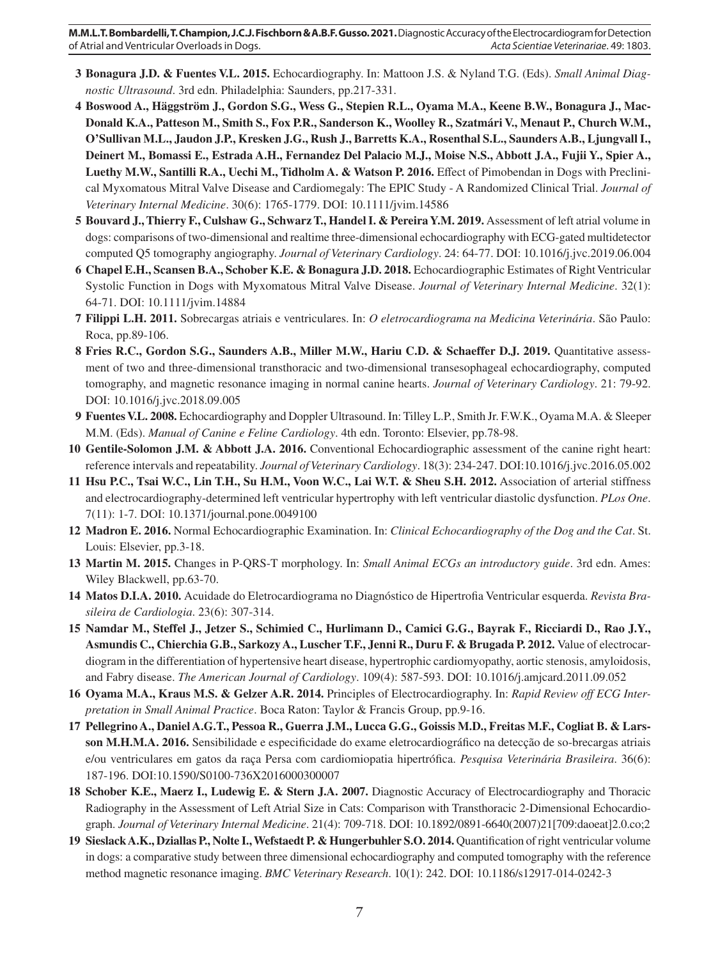- **3 Bonagura J.D. & Fuentes V.L. 2015.** Echocardiography. In: Mattoon J.S. & Nyland T.G. (Eds). *Small Animal Diagnostic Ultrasound*. 3rd edn. Philadelphia: Saunders, pp.217-331.
- **4 Boswood A., Häggström J., Gordon S.G., Wess G., Stepien R.L., Oyama M.A., Keene B.W., Bonagura J., Mac-Donald K.A., Patteson M., Smith S., Fox P.R., Sanderson K., Woolley R., Szatmári V., Menaut P., Church W.M., O'Sullivan M.L., Jaudon J.P., Kresken J.G., Rush J., Barretts K.A., Rosenthal S.L., Saunders A.B., Ljungvall I., Deinert M., Bomassi E., Estrada A.H., Fernandez Del Palacio M.J., Moise N.S., Abbott J.A., Fujii Y., Spier A., Luethy M.W., Santilli R.A., Uechi M., Tidholm A. & Watson P. 2016.** Effect of Pimobendan in Dogs with Preclinical Myxomatous Mitral Valve Disease and Cardiomegaly: The EPIC Study - A Randomized Clinical Trial. *Journal of Veterinary Internal Medicine*. 30(6): 1765-1779. DOI: 10.1111/jvim.14586
- **5 Bouvard J., Thierry F., Culshaw G., Schwarz T., Handel I. & Pereira Y.M. 2019.** Assessment of left atrial volume in dogs: comparisons of two-dimensional and realtime three-dimensional echocardiography with ECG-gated multidetector computed Q5 tomography angiography. *Journal of Veterinary Cardiology*. 24: 64-77. DOI: 10.1016/j.jvc.2019.06.004
- **6 Chapel E.H., Scansen B.A., Schober K.E. & Bonagura J.D. 2018.** Echocardiographic Estimates of Right Ventricular Systolic Function in Dogs with Myxomatous Mitral Valve Disease. *Journal of Veterinary Internal Medicine*. 32(1): 64-71. DOI: 10.1111/jvim.14884
- **7 Filippi L.H. 2011.** Sobrecargas atriais e ventriculares. In: *O eletrocardiograma na Medicina Veterinária*. São Paulo: Roca, pp.89-106.
- **8** Fries R.C., Gordon S.G., Saunders A.B., Miller M.W., Hariu C.D. & Schaeffer D.J. 2019. Quantitative assessment of two and three-dimensional transthoracic and two-dimensional transesophageal echocardiography, computed tomography, and magnetic resonance imaging in normal canine hearts. *Journal of Veterinary Cardiology*. 21: 79-92. DOI: 10.1016/j.jvc.2018.09.005
- **9 Fuentes V.L. 2008.** Echocardiography and Doppler Ultrasound. In: Tilley L.P., Smith Jr. F.W.K., Oyama M.A. & Sleeper M.M. (Eds). *Manual of Canine e Feline Cardiology*. 4th edn. Toronto: Elsevier, pp.78-98.
- **10 Gentile-Solomon J.M. & Abbott J.A. 2016.** Conventional Echocardiographic assessment of the canine right heart: reference intervals and repeatability. *Journal of Veterinary Cardiology*. 18(3): 234-247. DOI:10.1016/j.jvc.2016.05.002
- **11 Hsu P.C., Tsai W.C., Lin T.H., Su H.M., Voon W.C., Lai W.T. & Sheu S.H. 2012.** Association of arterial stiffness and electrocardiography-determined left ventricular hypertrophy with left ventricular diastolic dysfunction. *PLos One*. 7(11): 1-7. DOI: 10.1371/journal.pone.0049100
- **12 Madron E. 2016.** Normal Echocardiographic Examination. In: *Clinical Echocardiography of the Dog and the Cat*. St. Louis: Elsevier, pp.3-18.
- **13 Martin M. 2015.** Changes in P-QRS-T morphology. In: *Small Animal ECGs an introductory guide*. 3rd edn. Ames: Wiley Blackwell, pp.63-70.
- **14 Matos D.I.A. 2010.** Acuidade do Eletrocardiograma no Diagnóstico de Hipertrofia Ventricular esquerda. *Revista Brasileira de Cardiologia*. 23(6): 307-314.
- **15 Namdar M., Steffel J., Jetzer S., Schimied C., Hurlimann D., Camici G.G., Bayrak F., Ricciardi D., Rao J.Y., Asmundis C., Chierchia G.B., Sarkozy A., Luscher T.F., Jenni R., Duru F. & Brugada P. 2012.** Value of electrocardiogram in the differentiation of hypertensive heart disease, hypertrophic cardiomyopathy, aortic stenosis, amyloidosis, and Fabry disease. *The American Journal of Cardiology*. 109(4): 587-593. DOI: 10.1016/j.amjcard.2011.09.052
- **16 Oyama M.A., Kraus M.S. & Gelzer A.R. 2014.** Principles of Electrocardiography. In: *Rapid Review off ECG Interpretation in Small Animal Practice*. Boca Raton: Taylor & Francis Group, pp.9-16.
- **17 Pellegrino A., Daniel A.G.T., Pessoa R., Guerra J.M., Lucca G.G., Goissis M.D., Freitas M.F., Cogliat B. & Larsson M.H.M.A. 2016.** Sensibilidade e especificidade do exame eletrocardiográfico na detecção de so-brecargas atriais e/ou ventriculares em gatos da raça Persa com cardiomiopatia hipertrófica. *Pesquisa Veterinária Brasileira*. 36(6): 187-196. DOI:10.1590/S0100-736X2016000300007
- **18 Schober K.E., Maerz I., Ludewig E. & Stern J.A. 2007.** Diagnostic Accuracy of Electrocardiography and Thoracic Radiography in the Assessment of Left Atrial Size in Cats: Comparison with Transthoracic 2-Dimensional Echocardiograph. *Journal of Veterinary Internal Medicine*. 21(4): 709-718. DOI: 10.1892/0891-6640(2007)21[709:daoeat]2.0.co;2
- **19 Sieslack A.K., Dziallas P., Nolte I., Wefstaedt P. & Hungerbuhler S.O. 2014.** Quantification of right ventricular volume in dogs: a comparative study between three dimensional echocardiography and computed tomography with the reference method magnetic resonance imaging. *BMC Veterinary Research*. 10(1): 242. DOI: 10.1186/s12917-014-0242-3